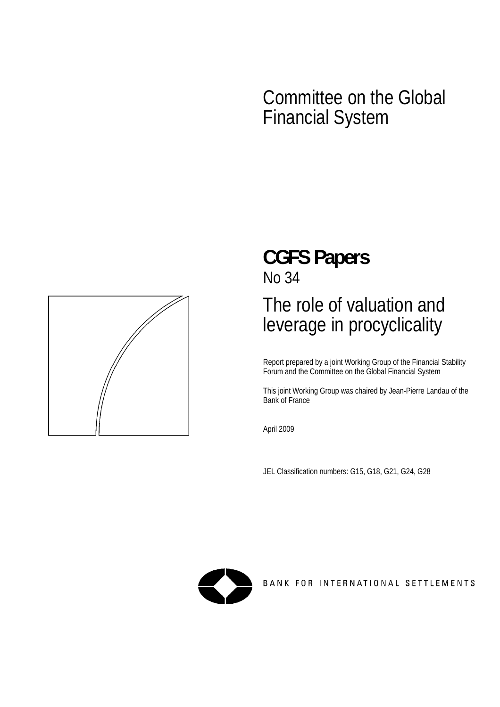# Committee on the Global Financial System



# **CGFS Papers**  No 34

# The role of valuation and leverage in procyclicality

Report prepared by a joint Working Group of the Financial Stability Forum and the Committee on the Global Financial System

This joint Working Group was chaired by Jean-Pierre Landau of the Bank of France

April 2009

JEL Classification numbers: G15, G18, G21, G24, G28



BANK FOR INTERNATIONAL SETTLEMENTS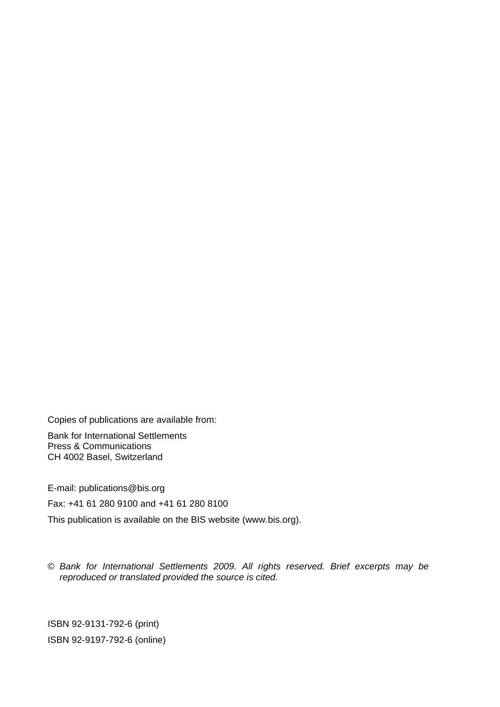Copies of publications are available from:

Bank for International Settlements Press & Communications CH 4002 Basel, Switzerland

E-mail: publications@bis.org

Fax: +41 61 280 9100 and +41 61 280 8100

This publication is available on the BIS website (www.bis.org).

© *Bank for International Settlements 2009. All rights reserved. Brief excerpts may be reproduced or translated provided the source is cited.* 

ISBN 92-9131-792-6 (print) ISBN 92-9197-792-6 (online)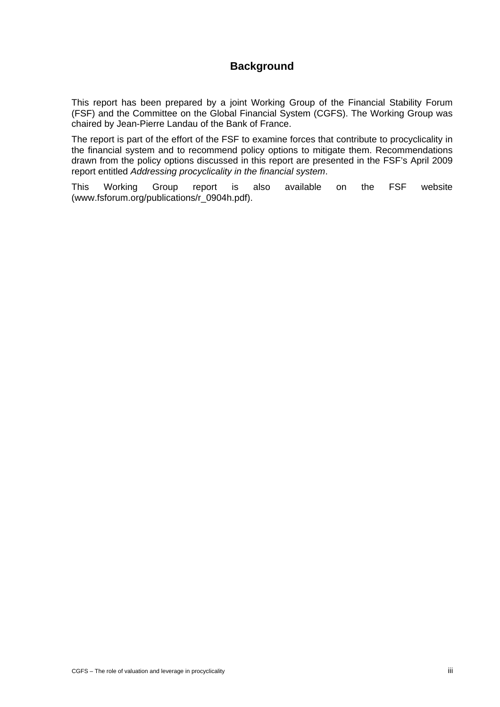# **Background**

This report has been prepared by a joint Working Group of the Financial Stability Forum (FSF) and the Committee on the Global Financial System (CGFS). The Working Group was chaired by Jean-Pierre Landau of the Bank of France.

The report is part of the effort of the FSF to examine forces that contribute to procyclicality in the financial system and to recommend policy options to mitigate them. Recommendations drawn from the policy options discussed in this report are presented in the FSF's April 2009 report entitled *Addressing procyclicality in the financial system*.

This Working Group report is also available on the FSF website ([www.fsforum.org/publications/r\\_0904h.pdf](http://www.fsforum.org/publications/r_0904h.pdf)).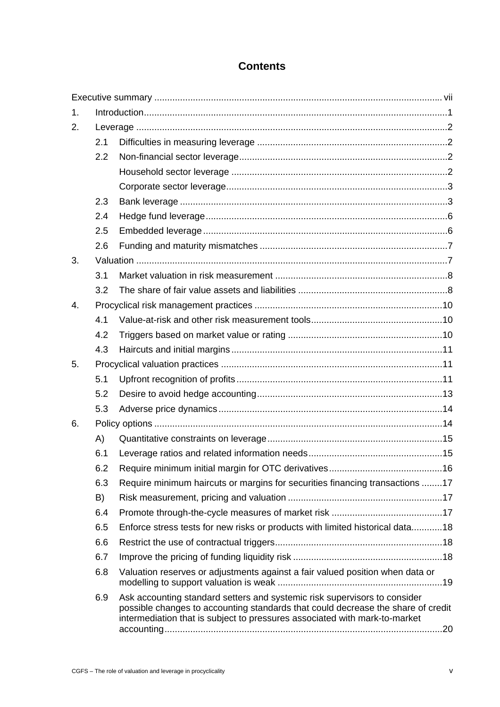# **Contents**

| 1. |     |                                                                                                                                                                                                                                             |  |  |  |
|----|-----|---------------------------------------------------------------------------------------------------------------------------------------------------------------------------------------------------------------------------------------------|--|--|--|
| 2. |     |                                                                                                                                                                                                                                             |  |  |  |
|    | 2.1 |                                                                                                                                                                                                                                             |  |  |  |
|    | 2.2 |                                                                                                                                                                                                                                             |  |  |  |
|    |     |                                                                                                                                                                                                                                             |  |  |  |
|    |     |                                                                                                                                                                                                                                             |  |  |  |
|    | 2.3 |                                                                                                                                                                                                                                             |  |  |  |
|    | 2.4 |                                                                                                                                                                                                                                             |  |  |  |
|    | 2.5 |                                                                                                                                                                                                                                             |  |  |  |
|    | 2.6 |                                                                                                                                                                                                                                             |  |  |  |
| 3. |     |                                                                                                                                                                                                                                             |  |  |  |
|    | 3.1 |                                                                                                                                                                                                                                             |  |  |  |
|    | 3.2 |                                                                                                                                                                                                                                             |  |  |  |
| 4. |     |                                                                                                                                                                                                                                             |  |  |  |
|    | 4.1 |                                                                                                                                                                                                                                             |  |  |  |
|    | 4.2 |                                                                                                                                                                                                                                             |  |  |  |
|    | 4.3 |                                                                                                                                                                                                                                             |  |  |  |
| 5. |     |                                                                                                                                                                                                                                             |  |  |  |
|    | 5.1 |                                                                                                                                                                                                                                             |  |  |  |
|    | 5.2 |                                                                                                                                                                                                                                             |  |  |  |
|    | 5.3 |                                                                                                                                                                                                                                             |  |  |  |
| 6. |     |                                                                                                                                                                                                                                             |  |  |  |
|    | A)  |                                                                                                                                                                                                                                             |  |  |  |
|    | 6.1 |                                                                                                                                                                                                                                             |  |  |  |
|    | 6.2 | .16                                                                                                                                                                                                                                         |  |  |  |
|    | 6.3 | Require minimum haircuts or margins for securities financing transactions 17                                                                                                                                                                |  |  |  |
|    | B)  |                                                                                                                                                                                                                                             |  |  |  |
|    | 6.4 |                                                                                                                                                                                                                                             |  |  |  |
|    | 6.5 | Enforce stress tests for new risks or products with limited historical data18                                                                                                                                                               |  |  |  |
|    | 6.6 |                                                                                                                                                                                                                                             |  |  |  |
|    | 6.7 |                                                                                                                                                                                                                                             |  |  |  |
|    | 6.8 | Valuation reserves or adjustments against a fair valued position when data or                                                                                                                                                               |  |  |  |
|    | 6.9 | Ask accounting standard setters and systemic risk supervisors to consider<br>possible changes to accounting standards that could decrease the share of credit<br>intermediation that is subject to pressures associated with mark-to-market |  |  |  |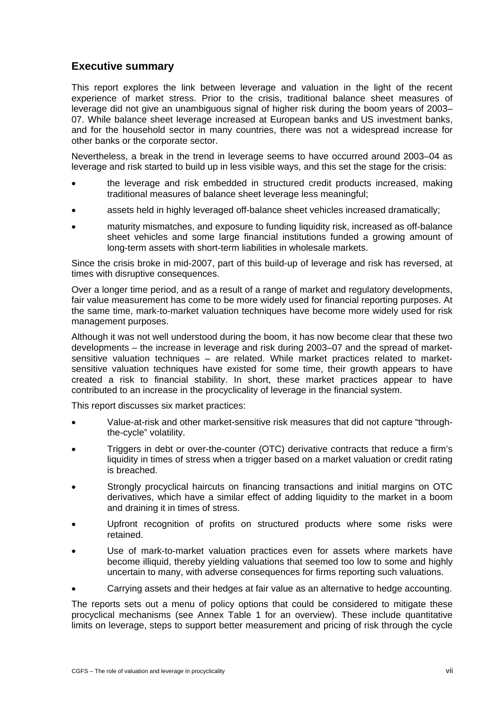# <span id="page-6-0"></span>**Executive summary**

This report explores the link between leverage and valuation in the light of the recent experience of market stress. Prior to the crisis, traditional balance sheet measures of leverage did not give an unambiguous signal of higher risk during the boom years of 2003– 07. While balance sheet leverage increased at European banks and US investment banks, and for the household sector in many countries, there was not a widespread increase for other banks or the corporate sector.

Nevertheless, a break in the trend in leverage seems to have occurred around 2003–04 as leverage and risk started to build up in less visible ways, and this set the stage for the crisis:

- the leverage and risk embedded in structured credit products increased, making traditional measures of balance sheet leverage less meaningful;
- assets held in highly leveraged off-balance sheet vehicles increased dramatically;
- maturity mismatches, and exposure to funding liquidity risk, increased as off-balance sheet vehicles and some large financial institutions funded a growing amount of long-term assets with short-term liabilities in wholesale markets.

Since the crisis broke in mid-2007, part of this build-up of leverage and risk has reversed, at times with disruptive consequences.

Over a longer time period, and as a result of a range of market and regulatory developments, fair value measurement has come to be more widely used for financial reporting purposes. At the same time, mark-to-market valuation techniques have become more widely used for risk management purposes.

Although it was not well understood during the boom, it has now become clear that these two developments – the increase in leverage and risk during 2003–07 and the spread of marketsensitive valuation techniques – are related. While market practices related to marketsensitive valuation techniques have existed for some time, their growth appears to have created a risk to financial stability. In short, these market practices appear to have contributed to an increase in the procyclicality of leverage in the financial system.

This report discusses six market practices:

- Value-at-risk and other market-sensitive risk measures that did not capture "throughthe-cycle" volatility.
- Triggers in debt or over-the-counter (OTC) derivative contracts that reduce a firm's liquidity in times of stress when a trigger based on a market valuation or credit rating is breached.
- Strongly procyclical haircuts on financing transactions and initial margins on OTC derivatives, which have a similar effect of adding liquidity to the market in a boom and draining it in times of stress.
- Upfront recognition of profits on structured products where some risks were retained.
- Use of mark-to-market valuation practices even for assets where markets have become illiquid, thereby yielding valuations that seemed too low to some and highly uncertain to many, with adverse consequences for firms reporting such valuations.
- Carrying assets and their hedges at fair value as an alternative to hedge accounting.

The reports sets out a menu of policy options that could be considered to mitigate these procyclical mechanisms (see Annex Table 1 for an overview). These include quantitative limits on leverage, steps to support better measurement and pricing of risk through the cycle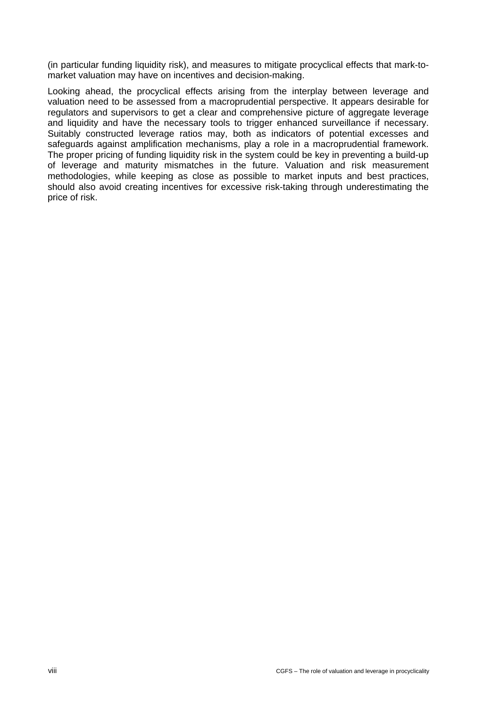(in particular funding liquidity risk), and measures to mitigate procyclical effects that mark-tomarket valuation may have on incentives and decision-making.

Looking ahead, the procyclical effects arising from the interplay between leverage and valuation need to be assessed from a macroprudential perspective. It appears desirable for regulators and supervisors to get a clear and comprehensive picture of aggregate leverage and liquidity and have the necessary tools to trigger enhanced surveillance if necessary. Suitably constructed leverage ratios may, both as indicators of potential excesses and safeguards against amplification mechanisms, play a role in a macroprudential framework. The proper pricing of funding liquidity risk in the system could be key in preventing a build-up of leverage and maturity mismatches in the future. Valuation and risk measurement methodologies, while keeping as close as possible to market inputs and best practices, should also avoid creating incentives for excessive risk-taking through underestimating the price of risk.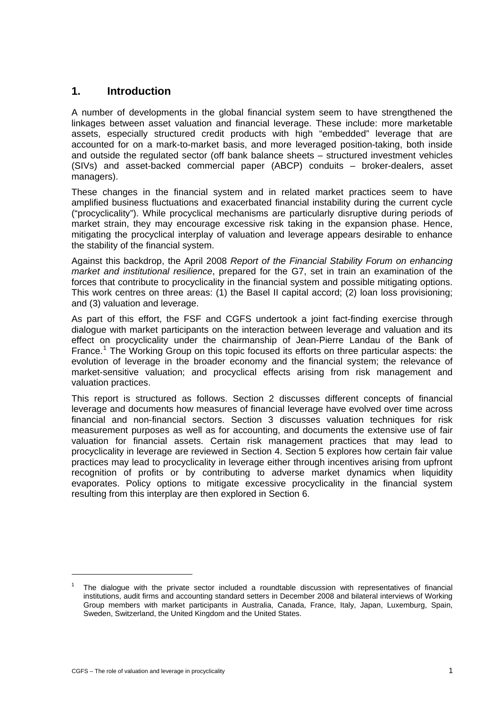# <span id="page-8-0"></span>**1. Introduction**

A number of developments in the global financial system seem to have strengthened the linkages between asset valuation and financial leverage. These include: more marketable assets, especially structured credit products with high "embedded" leverage that are accounted for on a mark-to-market basis, and more leveraged position-taking, both inside and outside the regulated sector (off bank balance sheets – structured investment vehicles (SIVs) and asset-backed commercial paper (ABCP) conduits – broker-dealers, asset managers).

These changes in the financial system and in related market practices seem to have amplified business fluctuations and exacerbated financial instability during the current cycle ("procyclicality"). While procyclical mechanisms are particularly disruptive during periods of market strain, they may encourage excessive risk taking in the expansion phase. Hence, mitigating the procyclical interplay of valuation and leverage appears desirable to enhance the stability of the financial system.

Against this backdrop, the April 2008 *Report of the Financial Stability Forum on enhancing market and institutional resilience*, prepared for the G7, set in train an examination of the forces that contribute to procyclicality in the financial system and possible mitigating options. This work centres on three areas: (1) the Basel II capital accord; (2) loan loss provisioning; and (3) valuation and leverage.

As part of this effort, the FSF and CGFS undertook a joint fact-finding exercise through dialogue with market participants on the interaction between leverage and valuation and its effect on procyclicality under the chairmanship of Jean-Pierre Landau of the Bank of France.<sup>[1](#page-8-1)</sup> The Working Group on this topic focused its efforts on three particular aspects: the evolution of leverage in the broader economy and the financial system; the relevance of market-sensitive valuation; and procyclical effects arising from risk management and valuation practices.

This report is structured as follows. Section 2 discusses different concepts of financial leverage and documents how measures of financial leverage have evolved over time across financial and non-financial sectors. Section 3 discusses valuation techniques for risk measurement purposes as well as for accounting, and documents the extensive use of fair valuation for financial assets. Certain risk management practices that may lead to procyclicality in leverage are reviewed in Section 4. Section 5 explores how certain fair value practices may lead to procyclicality in leverage either through incentives arising from upfront recognition of profits or by contributing to adverse market dynamics when liquidity evaporates. Policy options to mitigate excessive procyclicality in the financial system resulting from this interplay are then explored in Section 6.

 $\overline{a}$ 

<span id="page-8-1"></span><sup>1</sup> The dialogue with the private sector included a roundtable discussion with representatives of financial institutions, audit firms and accounting standard setters in December 2008 and bilateral interviews of Working Group members with market participants in Australia, Canada, France, Italy, Japan, Luxemburg, Spain, Sweden, Switzerland, the United Kingdom and the United States.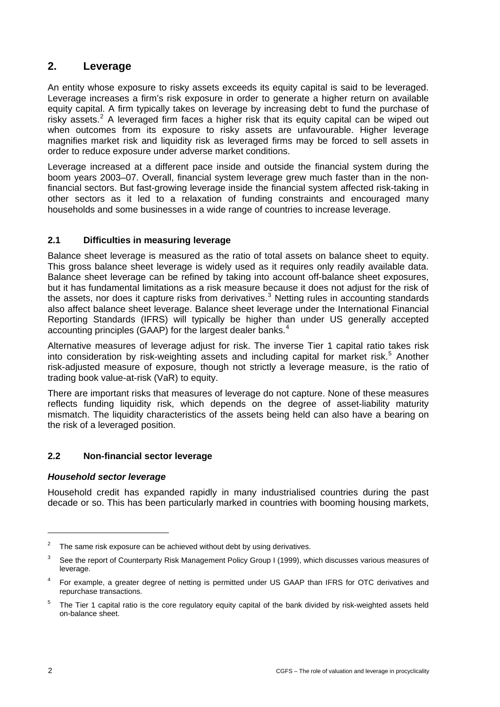# <span id="page-9-0"></span>**2. Leverage**

An entity whose exposure to risky assets exceeds its equity capital is said to be leveraged. Leverage increases a firm's risk exposure in order to generate a higher return on available equity capital. A firm typically takes on leverage by increasing debt to fund the purchase of risky assets.<sup>[2](#page-9-1)</sup> A leveraged firm faces a higher risk that its equity capital can be wiped out when outcomes from its exposure to risky assets are unfavourable. Higher leverage magnifies market risk and liquidity risk as leveraged firms may be forced to sell assets in order to reduce exposure under adverse market conditions.

Leverage increased at a different pace inside and outside the financial system during the boom years 2003–07. Overall, financial system leverage grew much faster than in the nonfinancial sectors. But fast-growing leverage inside the financial system affected risk-taking in other sectors as it led to a relaxation of funding constraints and encouraged many households and some businesses in a wide range of countries to increase leverage.

# **2.1 Difficulties in measuring leverage**

Balance sheet leverage is measured as the ratio of total assets on balance sheet to equity. This gross balance sheet leverage is widely used as it requires only readily available data. Balance sheet leverage can be refined by taking into account off-balance sheet exposures, but it has fundamental limitations as a risk measure because it does not adjust for the risk of the assets, nor does it capture risks from derivatives.<sup>[3](#page-9-2)</sup> Netting rules in accounting standards also affect balance sheet leverage. Balance sheet leverage under the International Financial Reporting Standards (IFRS) will typically be higher than under US generally accepted accounting principles (GAAP) for the largest dealer banks.<sup>[4](#page-9-3)</sup>

Alternative measures of leverage adjust for risk. The inverse Tier 1 capital ratio takes risk into consideration by risk-weighting assets and including capital for market risk.<sup>[5](#page-9-4)</sup> Another risk-adjusted measure of exposure, though not strictly a leverage measure, is the ratio of trading book value-at-risk (VaR) to equity.

There are important risks that measures of leverage do not capture. None of these measures reflects funding liquidity risk, which depends on the degree of asset-liability maturity mismatch. The liquidity characteristics of the assets being held can also have a bearing on the risk of a leveraged position.

# **2.2 Non-financial sector leverage**

# *Household sector leverage*

Household credit has expanded rapidly in many industrialised countries during the past decade or so. This has been particularly marked in countries with booming housing markets,

 $\overline{a}$ 

<span id="page-9-1"></span><sup>2</sup> The same risk exposure can be achieved without debt by using derivatives.

<span id="page-9-2"></span><sup>3</sup> See the report of Counterparty Risk Management Policy Group I (1999), which discusses various measures of leverage.

<span id="page-9-3"></span><sup>4</sup> For example, a greater degree of netting is permitted under US GAAP than IFRS for OTC derivatives and repurchase transactions.

<span id="page-9-4"></span><sup>5</sup> The Tier 1 capital ratio is the core regulatory equity capital of the bank divided by risk-weighted assets held on-balance sheet.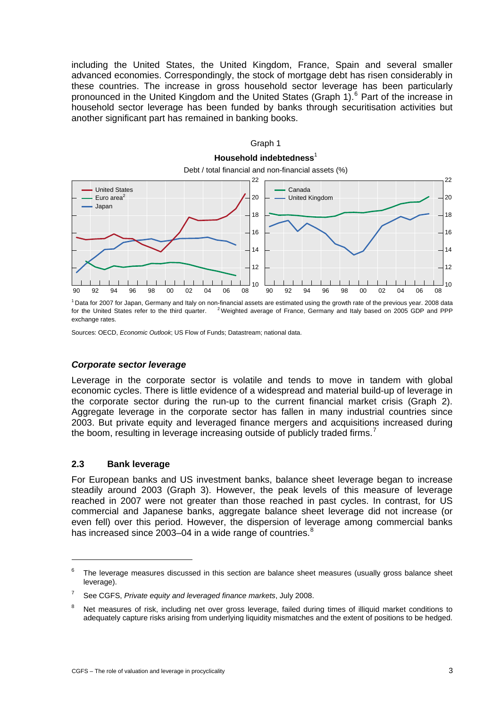<span id="page-10-0"></span>including the United States, the United Kingdom, France, Spain and several smaller advanced economies. Correspondingly, the stock of mortgage debt has risen considerably in these countries. The increase in gross household sector leverage has been particularly pronounced in the United Kingdom and the United States (Graph 1).<sup>[6](#page-10-1)</sup> Part of the increase in household sector leverage has been funded by banks through securitisation activities but another significant part has remained in banking books.

Graph 1



 $1$ Data for 2007 for Japan, Germany and Italy on non-financial assets are estimated using the growth rate of the previous year. 2008 data for the United States refer to the third quarter. <sup>2</sup> Weighted average of France, Germany and Italy based on 2005 GDP and PPP exchange rates.

Sources: OECD, *Economic Outlook*; US Flow of Funds; Datastream; national data.

#### *Corporate sector leverage*

Leverage in the corporate sector is volatile and tends to move in tandem with global economic cycles. There is little evidence of a widespread and material build-up of leverage in the corporate sector during the run-up to the current financial market crisis (Graph 2). Aggregate leverage in the corporate sector has fallen in many industrial countries since 2003. But private equity and leveraged finance mergers and acquisitions increased during the boom, resulting in leverage increasing outside of publicly traded firms.<sup>[7](#page-10-2)</sup>

#### **2.3 Bank leverage**

 $\overline{a}$ 

For European banks and US investment banks, balance sheet leverage began to increase steadily around 2003 (Graph 3). However, the peak levels of this measure of leverage reached in 2007 were not greater than those reached in past cycles. In contrast, for US commercial and Japanese banks, aggregate balance sheet leverage did not increase (or even fell) over this period. However, the dispersion of leverage among commercial banks has increased since 2003–04 in a wide range of countries. $8$ 

<span id="page-10-1"></span><sup>6</sup> The leverage measures discussed in this section are balance sheet measures (usually gross balance sheet leverage).

<span id="page-10-2"></span><sup>7</sup> See CGFS, *Private equity and leveraged finance markets*, July 2008.

<span id="page-10-3"></span><sup>8</sup> Net measures of risk, including net over gross leverage, failed during times of illiquid market conditions to adequately capture risks arising from underlying liquidity mismatches and the extent of positions to be hedged.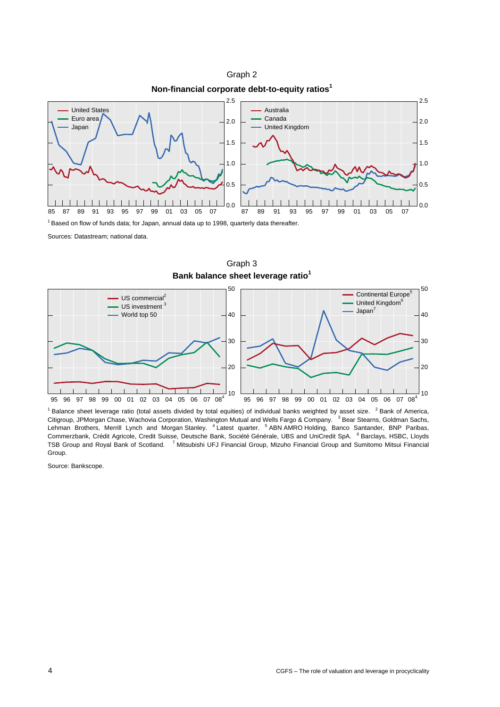

**Non-financial corporate debt-to-equity ratios<sup>1</sup>**



<sup>1</sup> Based on flow of funds data; for Japan, annual data up to 1998, quarterly data thereafter.

Sources: Datastream; national data.



Graph 3 **Bank balance sheet leverage ratio<sup>1</sup>**

<sup>1</sup> Balance sheet leverage ratio (total assets divided by total equities) of individual banks weighted by asset size. <sup>2</sup> Bank of America, Citigroup, JPMorgan Chase, Wachovia Corporation, Washington Mutual and Wells Fargo & Company. <sup>3</sup> Bear Stearns, Goldman Sachs, Lehman Brothers, Merrill Lynch and Morgan Stanley. <sup>4</sup> Latest quarter. <sup>5</sup> ABN AMRO Holding, Banco Santander, BNP Paribas, Commerzbank, Crédit Agricole, Credit Suisse, Deutsche Bank, Société Générale, UBS and UniCredit SpA. <sup>6</sup> Barclays, HSBC, Lloyds TSB Group and Royal Bank of Scotland. <sup>7</sup> Mitsubishi UFJ Financial Group, Mizuho Financial Group and Sumitomo Mitsui Financial Group.

Source: Bankscope.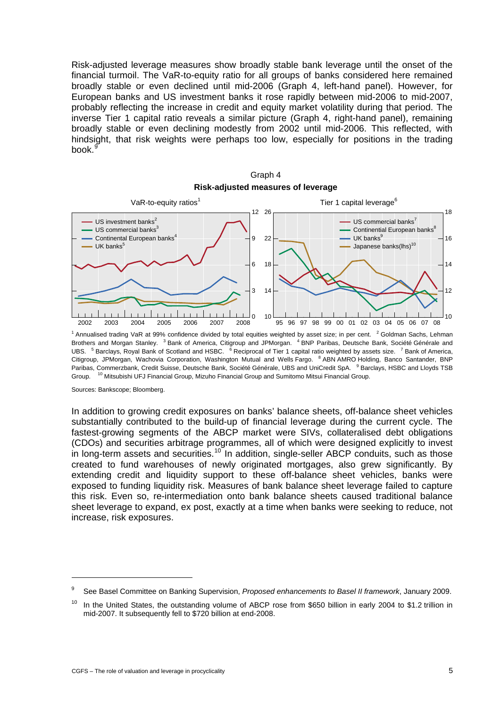Risk-adjusted leverage measures show broadly stable bank leverage until the onset of the financial turmoil. The VaR-to-equity ratio for all groups of banks considered here remained broadly stable or even declined until mid-2006 (Graph 4, left-hand panel). However, for European banks and US investment banks it rose rapidly between mid-2006 to mid-2007, probably reflecting the increase in credit and equity market volatility during that period. The inverse Tier 1 capital ratio reveals a similar picture (Graph 4, right-hand panel), remaining broadly stable or even declining modestly from 2002 until mid-2006. This reflected, with hindsight, that risk weights were perhaps too low, especially for positions in the trading book.

Graph 4



<sup>1</sup> Annualised trading VaR at 99% confidence divided by total equities weighted by asset size; in per cent. <sup>2</sup> Goldman Sachs, Lehman Brothers and Morgan Stanley. <sup>3</sup> Bank of America, Citigroup and JPMorgan. <sup>4</sup> BNP Paribas, Deutsche Bank, Société Générale and UBS. <sup>5</sup> Barclays, Royal Bank of Scotland and HSBC. <sup>6</sup> Reciprocal of Tier 1 capital ratio weighted by assets size. <sup>7</sup> Bank of America, Citigroup, JPMorgan, Wachovia Corporation, Washington Mutual and Wells Fargo. <sup>8</sup> ABN AMRO Holding, Banco Santander, BNP Paribas, Commerzbank, Credit Suisse, Deutsche Bank, Société Générale, UBS and UniCredit SpA. <sup>9</sup> Barclays, HSBC and Lloyds TSB Group. <sup>10</sup> Mitsubishi UFJ Financial Group, Mizuho Financial Group and Sumitomo Mitsui Financial Group.

Sources: Bankscope; Bloomberg.

In addition to growing credit exposures on banks' balance sheets, off-balance sheet vehicles substantially contributed to the build-up of financial leverage during the current cycle. The fastest-growing segments of the ABCP market were SIVs, collateralised debt obligations (CDOs) and securities arbitrage programmes, all of which were designed explicitly to invest in long-term assets and securities.<sup>[10](#page-12-1)</sup> In addition, single-seller ABCP conduits, such as those created to fund warehouses of newly originated mortgages, also grew significantly. By extending credit and liquidity support to these off-balance sheet vehicles, banks were exposed to funding liquidity risk. Measures of bank balance sheet leverage failed to capture this risk. Even so, re-intermediation onto bank balance sheets caused traditional balance sheet leverage to expand, ex post, exactly at a time when banks were seeking to reduce, not increase, risk exposures.

<span id="page-12-0"></span><sup>9</sup> See Basel Committee on Banking Supervision, *Proposed enhancements to Basel II framework*, January 2009.

<span id="page-12-1"></span> $10$  In the United States, the outstanding volume of ABCP rose from \$650 billion in early 2004 to \$1.2 trillion in mid-2007. It subsequently fell to \$720 billion at end-2008.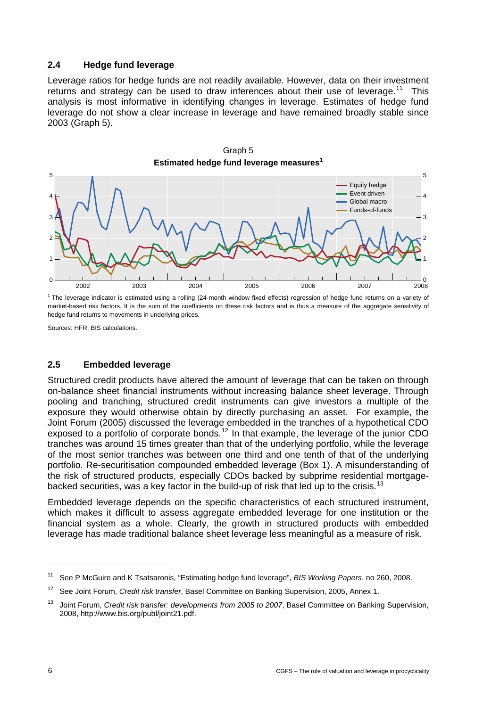## <span id="page-13-0"></span>**2.4 Hedge fund leverage**

Leverage ratios for hedge funds are not readily available. However, data on their investment returns and strategy can be used to draw inferences about their use of leverage.<sup>[11](#page-13-1)</sup> This analysis is most informative in identifying changes in leverage. Estimates of hedge fund leverage do not show a clear increase in leverage and have remained broadly stable since 2003 (Graph 5).



1 The leverage indicator is estimated using a rolling (24-month window fixed effects) regression of hedge fund returns on a variety of market-based risk factors. It is the sum of the coefficients on these risk factors and is thus a measure of the aggregate sensitivity of hedge fund returns to movements in underlying prices.

Sources: HFR; BIS calculations.

## **2.5 Embedded leverage**

Structured credit products have altered the amount of leverage that can be taken on through on-balance sheet financial instruments without increasing balance sheet leverage. Through pooling and tranching, structured credit instruments can give investors a multiple of the exposure they would otherwise obtain by directly purchasing an asset. For example, the Joint Forum (2005) discussed the leverage embedded in the tranches of a hypothetical CDO exposed to a portfolio of corporate bonds.<sup>[12](#page-13-2)</sup> In that example, the leverage of the junior CDO tranches was around 15 times greater than that of the underlying portfolio, while the leverage of the most senior tranches was between one third and one tenth of that of the underlying portfolio. Re-securitisation compounded embedded leverage (Box 1). A misunderstanding of the risk of structured products, especially CDOs backed by subprime residential mortgage-backed securities, was a key factor in the build-up of risk that led up to the crisis.<sup>[13](#page-13-3)</sup>

Embedded leverage depends on the specific characteristics of each structured instrument, which makes it difficult to assess aggregate embedded leverage for one institution or the financial system as a whole. Clearly, the growth in structured products with embedded leverage has made traditional balance sheet leverage less meaningful as a measure of risk.

 $\overline{a}$ 

<span id="page-13-1"></span><sup>11</sup> See P McGuire and K Tsatsaronis, "Estimating hedge fund leverage", *BIS Working Papers*, no 260, 2008.

<span id="page-13-2"></span><sup>12</sup> See Joint Forum, *Credit risk transfer*, Basel Committee on Banking Supervision, 2005, Annex 1.

<span id="page-13-3"></span><sup>13</sup> Joint Forum, *Credit risk transfer: developments from 2005 to 2007*, Basel Committee on Banking Supervision, 2008, http://www.bis.org/publ/joint21.pdf.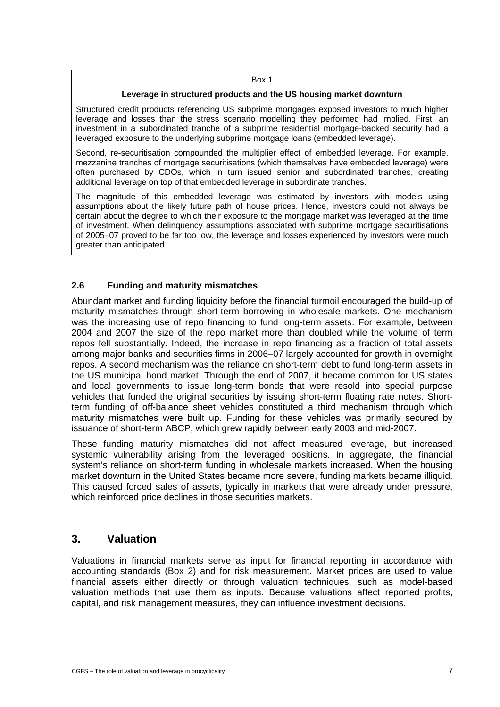#### Box 1

#### **Leverage in structured products and the US housing market downturn**

<span id="page-14-0"></span>Structured credit products referencing US subprime mortgages exposed investors to much higher leverage and losses than the stress scenario modelling they performed had implied. First, an investment in a subordinated tranche of a subprime residential mortgage-backed security had a leveraged exposure to the underlying subprime mortgage loans (embedded leverage).

Second, re-securitisation compounded the multiplier effect of embedded leverage. For example, mezzanine tranches of mortgage securitisations (which themselves have embedded leverage) were often purchased by CDOs, which in turn issued senior and subordinated tranches, creating additional leverage on top of that embedded leverage in subordinate tranches.

The magnitude of this embedded leverage was estimated by investors with models using assumptions about the likely future path of house prices. Hence, investors could not always be certain about the degree to which their exposure to the mortgage market was leveraged at the time of investment. When delinquency assumptions associated with subprime mortgage securitisations of 2005–07 proved to be far too low, the leverage and losses experienced by investors were much greater than anticipated.

# **2.6 Funding and maturity mismatches**

Abundant market and funding liquidity before the financial turmoil encouraged the build-up of maturity mismatches through short-term borrowing in wholesale markets. One mechanism was the increasing use of repo financing to fund long-term assets. For example, between 2004 and 2007 the size of the repo market more than doubled while the volume of term repos fell substantially. Indeed, the increase in repo financing as a fraction of total assets among major banks and securities firms in 2006–07 largely accounted for growth in overnight repos. A second mechanism was the reliance on short-term debt to fund long-term assets in the US municipal bond market. Through the end of 2007, it became common for US states and local governments to issue long-term bonds that were resold into special purpose vehicles that funded the original securities by issuing short-term floating rate notes. Shortterm funding of off-balance sheet vehicles constituted a third mechanism through which maturity mismatches were built up. Funding for these vehicles was primarily secured by issuance of short-term ABCP, which grew rapidly between early 2003 and mid-2007.

These funding maturity mismatches did not affect measured leverage, but increased systemic vulnerability arising from the leveraged positions. In aggregate, the financial system's reliance on short-term funding in wholesale markets increased. When the housing market downturn in the United States became more severe, funding markets became illiquid. This caused forced sales of assets, typically in markets that were already under pressure, which reinforced price declines in those securities markets.

# **3. Valuation**

Valuations in financial markets serve as input for financial reporting in accordance with accounting standards (Box 2) and for risk measurement. Market prices are used to value financial assets either directly or through valuation techniques, such as model-based valuation methods that use them as inputs. Because valuations affect reported profits, capital, and risk management measures, they can influence investment decisions.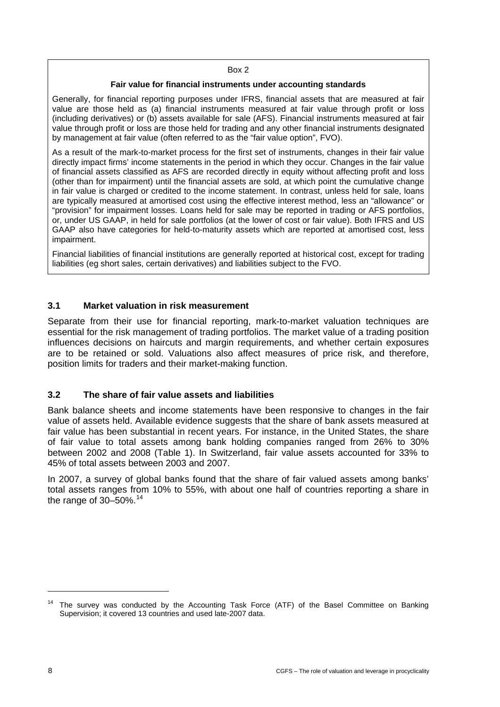#### Box 2

#### **Fair value for financial instruments under accounting standards**

<span id="page-15-0"></span>Generally, for financial reporting purposes under IFRS, financial assets that are measured at fair value are those held as (a) financial instruments measured at fair value through profit or loss (including derivatives) or (b) assets available for sale (AFS). Financial instruments measured at fair value through profit or loss are those held for trading and any other financial instruments designated by management at fair value (often referred to as the "fair value option", FVO).

As a result of the mark-to-market process for the first set of instruments, changes in their fair value directly impact firms' income statements in the period in which they occur. Changes in the fair value of financial assets classified as AFS are recorded directly in equity without affecting profit and loss (other than for impairment) until the financial assets are sold, at which point the cumulative change in fair value is charged or credited to the income statement. In contrast, unless held for sale, loans are typically measured at amortised cost using the effective interest method, less an "allowance" or "provision" for impairment losses. Loans held for sale may be reported in trading or AFS portfolios, or, under US GAAP, in held for sale portfolios (at the lower of cost or fair value). Both IFRS and US GAAP also have categories for held-to-maturity assets which are reported at amortised cost, less impairment.

Financial liabilities of financial institutions are generally reported at historical cost, except for trading liabilities (eg short sales, certain derivatives) and liabilities subject to the FVO.

## **3.1 Market valuation in risk measurement**

Separate from their use for financial reporting, mark-to-market valuation techniques are essential for the risk management of trading portfolios. The market value of a trading position influences decisions on haircuts and margin requirements, and whether certain exposures are to be retained or sold. Valuations also affect measures of price risk, and therefore, position limits for traders and their market-making function.

#### **3.2 The share of fair value assets and liabilities**

Bank balance sheets and income statements have been responsive to changes in the fair value of assets held. Available evidence suggests that the share of bank assets measured at fair value has been substantial in recent years. For instance, in the United States, the share of fair value to total assets among bank holding companies ranged from 26% to 30% between 2002 and 2008 (Table 1). In Switzerland, fair value assets accounted for 33% to 45% of total assets between 2003 and 2007.

In 2007, a survey of global banks found that the share of fair valued assets among banks' total assets ranges from 10% to 55%, with about one half of countries reporting a share in the range of  $30-50\%$ .<sup>[14](#page-15-1)</sup>

<span id="page-15-1"></span><sup>&</sup>lt;sup>14</sup> The survey was conducted by the Accounting Task Force (ATF) of the Basel Committee on Banking Supervision; it covered 13 countries and used late-2007 data.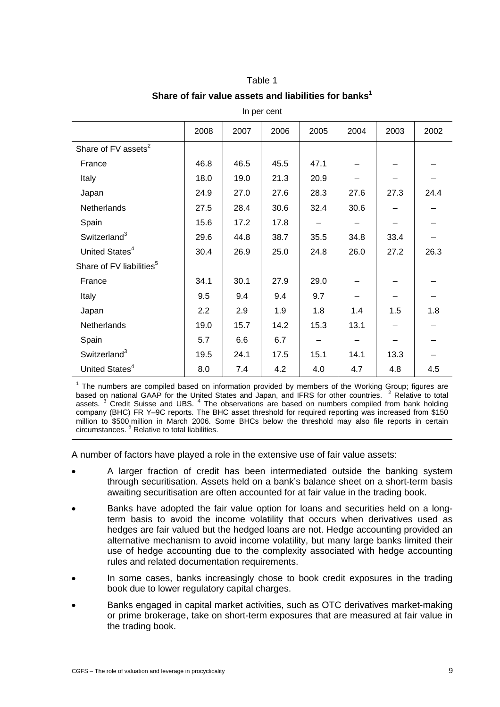| III per cent                         |      |      |      |      |      |      |      |  |
|--------------------------------------|------|------|------|------|------|------|------|--|
|                                      | 2008 | 2007 | 2006 | 2005 | 2004 | 2003 | 2002 |  |
| Share of FV assets <sup>2</sup>      |      |      |      |      |      |      |      |  |
| France                               | 46.8 | 46.5 | 45.5 | 47.1 |      |      |      |  |
| Italy                                | 18.0 | 19.0 | 21.3 | 20.9 |      |      |      |  |
| Japan                                | 24.9 | 27.0 | 27.6 | 28.3 | 27.6 | 27.3 | 24.4 |  |
| Netherlands                          | 27.5 | 28.4 | 30.6 | 32.4 | 30.6 |      |      |  |
| Spain                                | 15.6 | 17.2 | 17.8 |      |      |      |      |  |
| Switzerland <sup>3</sup>             | 29.6 | 44.8 | 38.7 | 35.5 | 34.8 | 33.4 |      |  |
| United States <sup>4</sup>           | 30.4 | 26.9 | 25.0 | 24.8 | 26.0 | 27.2 | 26.3 |  |
| Share of FV liabilities <sup>5</sup> |      |      |      |      |      |      |      |  |
| France                               | 34.1 | 30.1 | 27.9 | 29.0 |      |      |      |  |
| Italy                                | 9.5  | 9.4  | 9.4  | 9.7  |      |      |      |  |
| Japan                                | 2.2  | 2.9  | 1.9  | 1.8  | 1.4  | 1.5  | 1.8  |  |
| Netherlands                          | 19.0 | 15.7 | 14.2 | 15.3 | 13.1 |      |      |  |
| Spain                                | 5.7  | 6.6  | 6.7  |      |      |      |      |  |
| Switzerland <sup>3</sup>             | 19.5 | 24.1 | 17.5 | 15.1 | 14.1 | 13.3 |      |  |
| United States <sup>4</sup>           | 8.0  | 7.4  | 4.2  | 4.0  | 4.7  | 4.8  | 4.5  |  |

# Table 1 **Share of fair value assets and liabilities for banks<sup>1</sup>**

In per cent

 $1$  The numbers are compiled based on information provided by members of the Working Group; figures are based on national GAAP for the United States and Japan, and IFRS for other countries. <sup>2</sup> Relative to total assets.  $3$  Credit Suisse and UBS.  $4$  The observations are based on numbers compiled from bank holding company (BHC) FR Y–9C reports. The BHC asset threshold for required reporting was increased from \$150 million to \$500 million in March 2006. Some BHCs below the threshold may also file reports in certain circumstances. <sup>5</sup> Relative to total liabilities.

A number of factors have played a role in the extensive use of fair value assets:

- A larger fraction of credit has been intermediated outside the banking system through securitisation. Assets held on a bank's balance sheet on a short-term basis awaiting securitisation are often accounted for at fair value in the trading book.
- Banks have adopted the fair value option for loans and securities held on a longterm basis to avoid the income volatility that occurs when derivatives used as hedges are fair valued but the hedged loans are not. Hedge accounting provided an alternative mechanism to avoid income volatility, but many large banks limited their use of hedge accounting due to the complexity associated with hedge accounting rules and related documentation requirements.
- In some cases, banks increasingly chose to book credit exposures in the trading book due to lower regulatory capital charges.
- Banks engaged in capital market activities, such as OTC derivatives market-making or prime brokerage, take on short-term exposures that are measured at fair value in the trading book.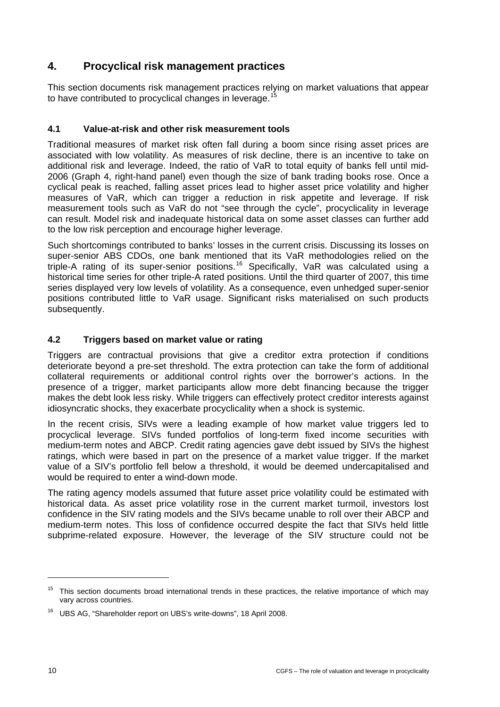# <span id="page-17-0"></span>**4. Procyclical risk management practices**

This section documents risk management practices relying on market valuations that appear to have contributed to procyclical changes in leverage.<sup>[15](#page-17-1)</sup>

# **4.1 Value-at-risk and other risk measurement tools**

Traditional measures of market risk often fall during a boom since rising asset prices are associated with low volatility. As measures of risk decline, there is an incentive to take on additional risk and leverage. Indeed, the ratio of VaR to total equity of banks fell until mid-2006 (Graph 4, right-hand panel) even though the size of bank trading books rose. Once a cyclical peak is reached, falling asset prices lead to higher asset price volatility and higher measures of VaR, which can trigger a reduction in risk appetite and leverage. If risk measurement tools such as VaR do not "see through the cycle", procyclicality in leverage can result. Model risk and inadequate historical data on some asset classes can further add to the low risk perception and encourage higher leverage.

Such shortcomings contributed to banks' losses in the current crisis. Discussing its losses on super-senior ABS CDOs, one bank mentioned that its VaR methodologies relied on the triple-A rating of its super-senior positions.<sup>[16](#page-17-2)</sup> Specifically, VaR was calculated using a historical time series for other triple-A rated positions. Until the third quarter of 2007, this time series displayed very low levels of volatility. As a consequence, even unhedged super-senior positions contributed little to VaR usage. Significant risks materialised on such products subsequently.

# **4.2 Triggers based on market value or rating**

Triggers are contractual provisions that give a creditor extra protection if conditions deteriorate beyond a pre-set threshold. The extra protection can take the form of additional collateral requirements or additional control rights over the borrower's actions. In the presence of a trigger, market participants allow more debt financing because the trigger makes the debt look less risky. While triggers can effectively protect creditor interests against idiosyncratic shocks, they exacerbate procyclicality when a shock is systemic.

In the recent crisis, SIVs were a leading example of how market value triggers led to procyclical leverage. SIVs funded portfolios of long-term fixed income securities with medium-term notes and ABCP. Credit rating agencies gave debt issued by SIVs the highest ratings, which were based in part on the presence of a market value trigger. If the market value of a SIV's portfolio fell below a threshold, it would be deemed undercapitalised and would be required to enter a wind-down mode.

The rating agency models assumed that future asset price volatility could be estimated with historical data. As asset price volatility rose in the current market turmoil, investors lost confidence in the SIV rating models and the SIVs became unable to roll over their ABCP and medium-term notes. This loss of confidence occurred despite the fact that SIVs held little subprime-related exposure. However, the leverage of the SIV structure could not be

<span id="page-17-1"></span> $15$  This section documents broad international trends in these practices, the relative importance of which may vary across countries.

<span id="page-17-2"></span><sup>16</sup> UBS AG, "Shareholder report on UBS's write-downs", 18 April 2008.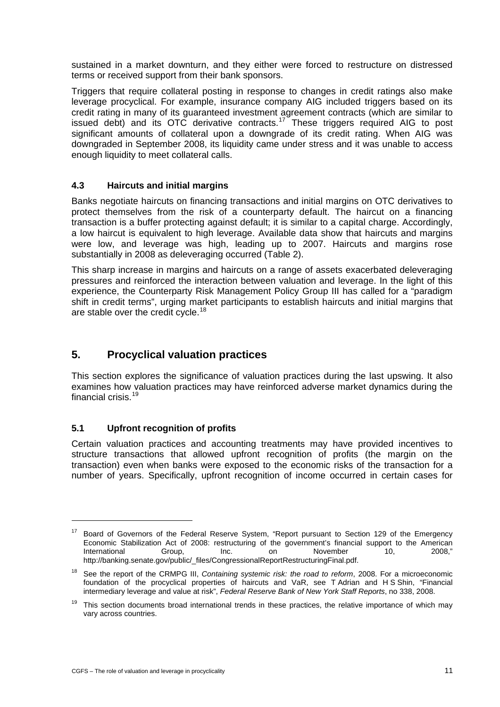<span id="page-18-0"></span>sustained in a market downturn, and they either were forced to restructure on distressed terms or received support from their bank sponsors.

Triggers that require collateral posting in response to changes in credit ratings also make leverage procyclical. For example, insurance company AIG included triggers based on its credit rating in many of its guaranteed investment agreement contracts (which are similar to issued debt) and its OTC derivative contracts.<sup>[17](#page-18-1)</sup> These triggers required AIG to post significant amounts of collateral upon a downgrade of its credit rating. When AIG was downgraded in September 2008, its liquidity came under stress and it was unable to access enough liquidity to meet collateral calls.

## **4.3 Haircuts and initial margins**

Banks negotiate haircuts on financing transactions and initial margins on OTC derivatives to protect themselves from the risk of a counterparty default. The haircut on a financing transaction is a buffer protecting against default; it is similar to a capital charge. Accordingly, a low haircut is equivalent to high leverage. Available data show that haircuts and margins were low, and leverage was high, leading up to 2007. Haircuts and margins rose substantially in 2008 as deleveraging occurred (Table 2).

This sharp increase in margins and haircuts on a range of assets exacerbated deleveraging pressures and reinforced the interaction between valuation and leverage. In the light of this experience, the Counterparty Risk Management Policy Group III has called for a "paradigm shift in credit terms", urging market participants to establish haircuts and initial margins that are stable over the credit cycle.<sup>[18](#page-18-2)</sup>

# **5. Procyclical valuation practices**

This section explores the significance of valuation practices during the last upswing. It also examines how valuation practices may have reinforced adverse market dynamics during the financial crisis.<sup>[19](#page-18-3)</sup>

# **5.1 Upfront recognition of profits**

 $\overline{a}$ 

Certain valuation practices and accounting treatments may have provided incentives to structure transactions that allowed upfront recognition of profits (the margin on the transaction) even when banks were exposed to the economic risks of the transaction for a number of years. Specifically, upfront recognition of income occurred in certain cases for

<span id="page-18-1"></span><sup>&</sup>lt;sup>17</sup> Board of Governors of the Federal Reserve System, "Report pursuant to Section 129 of the Emergency Economic Stabilization Act of 2008: restructuring of the government's financial support to the American International Group, Inc. on November 10, 2008," http://banking.senate.gov/public/\_files/CongressionalReportRestructuringFinal.pdf.

<span id="page-18-2"></span><sup>18</sup> See the report of the CRMPG III, *Containing systemic risk: the road to reform*, 2008. For a microeconomic foundation of the procyclical properties of haircuts and VaR, see T Adrian and H S Shin, "Financial intermediary leverage and value at risk", *Federal Reserve Bank of New York Staff Reports*, no 338, 2008.

<span id="page-18-3"></span><sup>&</sup>lt;sup>19</sup> This section documents broad international trends in these practices, the relative importance of which may vary across countries.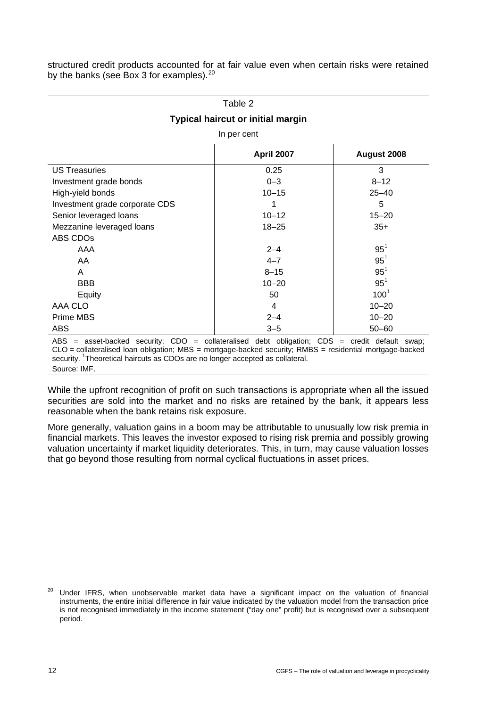structured credit products accounted for at fair value even when certain risks were retained by the banks (see Box 3 for examples).<sup>[20](#page-19-0)</sup>

Table 2

| Typical haircut or initial margin |            |             |  |  |  |  |
|-----------------------------------|------------|-------------|--|--|--|--|
| In per cent                       |            |             |  |  |  |  |
|                                   | April 2007 | August 2008 |  |  |  |  |
| <b>US Treasuries</b>              | 0.25       | 3           |  |  |  |  |
| Investment grade bonds            | $0 - 3$    | $8 - 12$    |  |  |  |  |
| High-yield bonds                  | $10 - 15$  | $25 - 40$   |  |  |  |  |
| Investment grade corporate CDS    | 1          | 5           |  |  |  |  |
| Senior leveraged loans            | $10 - 12$  | $15 - 20$   |  |  |  |  |
| Mezzanine leveraged loans         | $18 - 25$  | $35+$       |  |  |  |  |
| ABS CDOs                          |            |             |  |  |  |  |
| AAA                               | $2 - 4$    | $95^1$      |  |  |  |  |
| AA                                | $4 - 7$    | $95^1$      |  |  |  |  |
| A                                 | $8 - 15$   | $95^1$      |  |  |  |  |
| <b>BBB</b>                        | $10 - 20$  | $95^1$      |  |  |  |  |
| Equity                            | 50         | $100^{1}$   |  |  |  |  |
| AAA CLO                           | 4          | $10 - 20$   |  |  |  |  |
| Prime MBS                         | $2 - 4$    | $10 - 20$   |  |  |  |  |
| <b>ABS</b>                        | $3 - 5$    | $50 - 60$   |  |  |  |  |

ABS = asset-backed security;  $CDO =$  collateralised debt obligation;  $CDS =$  credit default swap; CLO = collateralised loan obligation; MBS = mortgage-backed security; RMBS = residential mortgage-backed security. <sup>1</sup>Theoretical haircuts as CDOs are no longer accepted as collateral. Source: IMF.

While the upfront recognition of profit on such transactions is appropriate when all the issued securities are sold into the market and no risks are retained by the bank, it appears less reasonable when the bank retains risk exposure.

More generally, valuation gains in a boom may be attributable to unusually low risk premia in financial markets. This leaves the investor exposed to rising risk premia and possibly growing valuation uncertainty if market liquidity deteriorates. This, in turn, may cause valuation losses that go beyond those resulting from normal cyclical fluctuations in asset prices.

 $\overline{a}$ 

<span id="page-19-0"></span> $20$  Under IFRS, when unobservable market data have a significant impact on the valuation of financial instruments, the entire initial difference in fair value indicated by the valuation model from the transaction price is not recognised immediately in the income statement ("day one" profit) but is recognised over a subsequent period.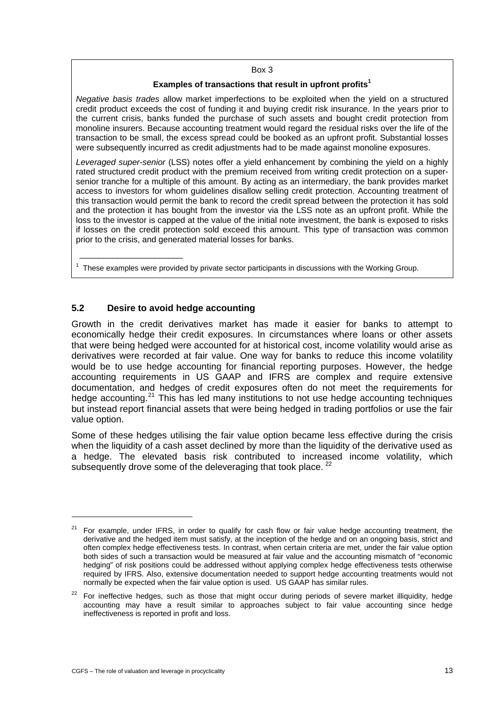#### Box 3

#### **Examples of transactions that result in upfront profits<sup>1</sup>**

<span id="page-20-0"></span>*Negative basis trades* allow market imperfections to be exploited when the yield on a structured credit product exceeds the cost of funding it and buying credit risk insurance. In the years prior to the current crisis, banks funded the purchase of such assets and bought credit protection from monoline insurers. Because accounting treatment would regard the residual risks over the life of the transaction to be small, the excess spread could be booked as an upfront profit. Substantial losses were subsequently incurred as credit adjustments had to be made against monoline exposures.

*Leveraged super-senior* (LSS) notes offer a yield enhancement by combining the yield on a highly rated structured credit product with the premium received from writing credit protection on a supersenior tranche for a multiple of this amount. By acting as an intermediary, the bank provides market access to investors for whom guidelines disallow selling credit protection. Accounting treatment of this transaction would permit the bank to record the credit spread between the protection it has sold and the protection it has bought from the investor via the LSS note as an upfront profit. While the loss to the investor is capped at the value of the initial note investment, the bank is exposed to risks if losses on the credit protection sold exceed this amount. This type of transaction was common prior to the crisis, and generated material losses for banks.

 $1$  These examples were provided by private sector participants in discussions with the Working Group.

### **5.2 Desire to avoid hedge accounting**

\_\_\_\_\_\_\_\_\_\_\_\_\_\_\_\_\_\_\_\_\_\_

Growth in the credit derivatives market has made it easier for banks to attempt to economically hedge their credit exposures. In circumstances where loans or other assets that were being hedged were accounted for at historical cost, income volatility would arise as derivatives were recorded at fair value. One way for banks to reduce this income volatility would be to use hedge accounting for financial reporting purposes. However, the hedge accounting requirements in US GAAP and IFRS are complex and require extensive documentation, and hedges of credit exposures often do not meet the requirements for hedge accounting.<sup>[21](#page-20-1)</sup> This has led many institutions to not use hedge accounting techniques but instead report financial assets that were being hedged in trading portfolios or use the fair value option.

Some of these hedges utilising the fair value option became less effective during the crisis when the liquidity of a cash asset declined by more than the liquidity of the derivative used as a hedge. The elevated basis risk contributed to increased income volatility, which subsequently drove some of the deleveraging that took place. <sup>[22](#page-20-2)</sup>

<span id="page-20-1"></span><sup>21</sup> For example, under IFRS, in order to qualify for cash flow or fair value hedge accounting treatment, the derivative and the hedged item must satisfy, at the inception of the hedge and on an ongoing basis, strict and often complex hedge effectiveness tests. In contrast, when certain criteria are met, under the fair value option both sides of such a transaction would be measured at fair value and the accounting mismatch of "economic hedging" of risk positions could be addressed without applying complex hedge effectiveness tests otherwise required by IFRS. Also, extensive documentation needed to support hedge accounting treatments would not normally be expected when the fair value option is used. US GAAP has similar rules.

<span id="page-20-2"></span><sup>&</sup>lt;sup>22</sup> For ineffective hedges, such as those that might occur during periods of severe market illiquidity, hedge accounting may have a result similar to approaches subject to fair value accounting since hedge ineffectiveness is reported in profit and loss.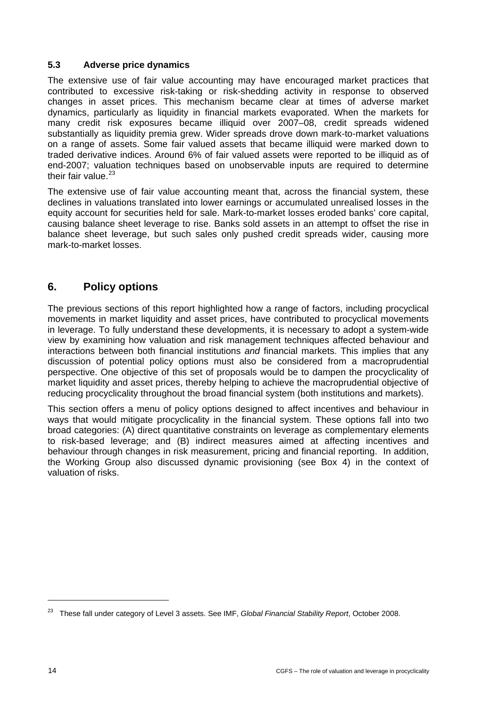# <span id="page-21-0"></span>**5.3 Adverse price dynamics**

The extensive use of fair value accounting may have encouraged market practices that contributed to excessive risk-taking or risk-shedding activity in response to observed changes in asset prices. This mechanism became clear at times of adverse market dynamics, particularly as liquidity in financial markets evaporated. When the markets for many credit risk exposures became illiquid over 2007–08, credit spreads widened substantially as liquidity premia grew. Wider spreads drove down mark-to-market valuations on a range of assets. Some fair valued assets that became illiquid were marked down to traded derivative indices. Around 6% of fair valued assets were reported to be illiquid as of end-2007; valuation techniques based on unobservable inputs are required to determine their fair value. $^{23}$  $^{23}$  $^{23}$ 

The extensive use of fair value accounting meant that, across the financial system, these declines in valuations translated into lower earnings or accumulated unrealised losses in the equity account for securities held for sale. Mark-to-market losses eroded banks' core capital, causing balance sheet leverage to rise. Banks sold assets in an attempt to offset the rise in balance sheet leverage, but such sales only pushed credit spreads wider, causing more mark-to-market losses.

# **6. Policy options**

The previous sections of this report highlighted how a range of factors, including procyclical movements in market liquidity and asset prices, have contributed to procyclical movements in leverage. To fully understand these developments, it is necessary to adopt a system-wide view by examining how valuation and risk management techniques affected behaviour and interactions between both financial institutions *and* financial markets. This implies that any discussion of potential policy options must also be considered from a macroprudential perspective. One objective of this set of proposals would be to dampen the procyclicality of market liquidity and asset prices, thereby helping to achieve the macroprudential objective of reducing procyclicality throughout the broad financial system (both institutions and markets).

This section offers a menu of policy options designed to affect incentives and behaviour in ways that would mitigate procyclicality in the financial system. These options fall into two broad categories: (A) direct quantitative constraints on leverage as complementary elements to risk-based leverage; and (B) indirect measures aimed at affecting incentives and behaviour through changes in risk measurement, pricing and financial reporting. In addition, the Working Group also discussed dynamic provisioning (see Box 4) in the context of valuation of risks.

<span id="page-21-1"></span><sup>23</sup> These fall under category of Level 3 assets. See IMF, *Global Financial Stability Report*, October 2008.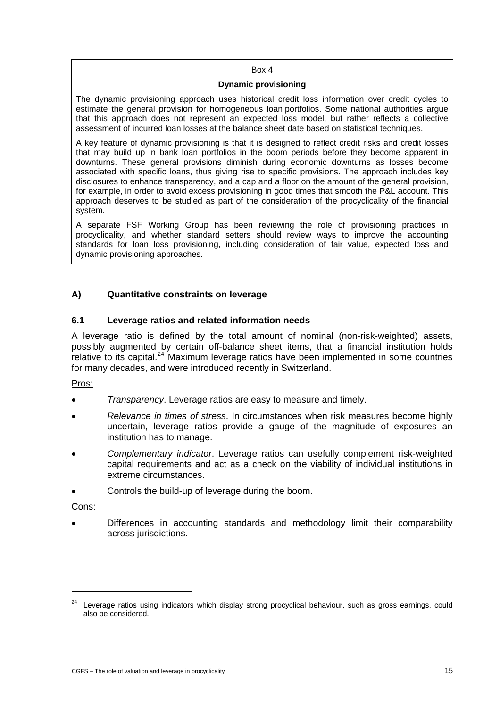#### Box 4

#### **Dynamic provisioning**

<span id="page-22-0"></span>The dynamic provisioning approach uses historical credit loss information over credit cycles to estimate the general provision for homogeneous loan portfolios. Some national authorities argue that this approach does not represent an expected loss model, but rather reflects a collective assessment of incurred loan losses at the balance sheet date based on statistical techniques.

A key feature of dynamic provisioning is that it is designed to reflect credit risks and credit losses that may build up in bank loan portfolios in the boom periods before they become apparent in downturns. These general provisions diminish during economic downturns as losses become associated with specific loans, thus giving rise to specific provisions. The approach includes key disclosures to enhance transparency, and a cap and a floor on the amount of the general provision, for example, in order to avoid excess provisioning in good times that smooth the P&L account. This approach deserves to be studied as part of the consideration of the procyclicality of the financial system.

A separate FSF Working Group has been reviewing the role of provisioning practices in procyclicality, and whether standard setters should review ways to improve the accounting standards for loan loss provisioning, including consideration of fair value, expected loss and dynamic provisioning approaches.

## **A) Quantitative constraints on leverage**

## **6.1 Leverage ratios and related information needs**

A leverage ratio is defined by the total amount of nominal (non-risk-weighted) assets, possibly augmented by certain off-balance sheet items, that a financial institution holds relative to its capital.<sup>[24](#page-22-1)</sup> Maximum leverage ratios have been implemented in some countries for many decades, and were introduced recently in Switzerland.

#### Pros:

- *Transparency*. Leverage ratios are easy to measure and timely.
- *Relevance in times of stress*. In circumstances when risk measures become highly uncertain, leverage ratios provide a gauge of the magnitude of exposures an institution has to manage.
- *Complementary indicator*. Leverage ratios can usefully complement risk-weighted capital requirements and act as a check on the viability of individual institutions in extreme circumstances.
- Controls the build-up of leverage during the boom.

#### Cons:

• Differences in accounting standards and methodology limit their comparability across jurisdictions.

<span id="page-22-1"></span><sup>24</sup> Leverage ratios using indicators which display strong procyclical behaviour, such as gross earnings, could also be considered.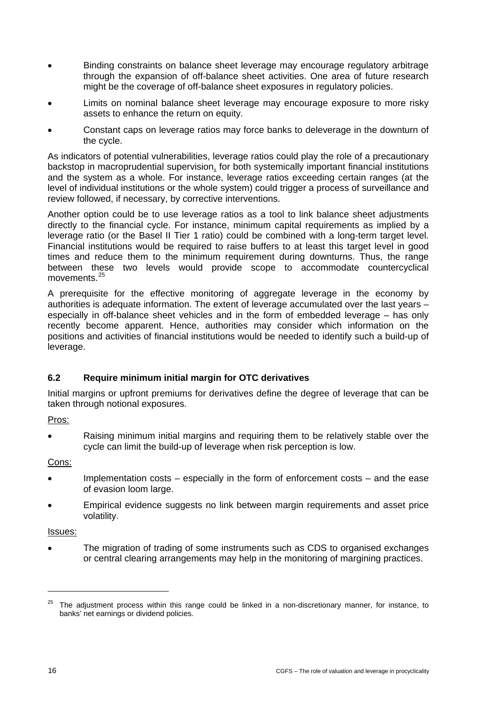- <span id="page-23-0"></span>• Binding constraints on balance sheet leverage may encourage regulatory arbitrage through the expansion of off-balance sheet activities. One area of future research might be the coverage of off-balance sheet exposures in regulatory policies.
- Limits on nominal balance sheet leverage may encourage exposure to more risky assets to enhance the return on equity.
- Constant caps on leverage ratios may force banks to deleverage in the downturn of the cycle.

As indicators of potential vulnerabilities, leverage ratios could play the role of a precautionary backstop in macroprudential supervision, for both systemically important financial institutions and the system as a whole. For instance, leverage ratios exceeding certain ranges (at the level of individual institutions or the whole system) could trigger a process of surveillance and review followed, if necessary, by corrective interventions.

Another option could be to use leverage ratios as a tool to link balance sheet adjustments directly to the financial cycle. For instance, minimum capital requirements as implied by a leverage ratio (or the Basel II Tier 1 ratio) could be combined with a long-term target level. Financial institutions would be required to raise buffers to at least this target level in good times and reduce them to the minimum requirement during downturns. Thus, the range between these two levels would provide scope to accommodate countercyclical movements.<sup>[25](#page-23-1)</sup>

A prerequisite for the effective monitoring of aggregate leverage in the economy by authorities is adequate information. The extent of leverage accumulated over the last years – especially in off-balance sheet vehicles and in the form of embedded leverage – has only recently become apparent. Hence, authorities may consider which information on the positions and activities of financial institutions would be needed to identify such a build-up of leverage.

# **6.2 Require minimum initial margin for OTC derivatives**

Initial margins or upfront premiums for derivatives define the degree of leverage that can be taken through notional exposures.

## Pros:

• Raising minimum initial margins and requiring them to be relatively stable over the cycle can limit the build-up of leverage when risk perception is low.

## Cons:

- Implementation  $costs especially$  in the form of enforcement  $costs and$  the ease of evasion loom large.
- Empirical evidence suggests no link between margin requirements and asset price volatility.

# Issues:

The migration of trading of some instruments such as CDS to organised exchanges or central clearing arrangements may help in the monitoring of margining practices.

<span id="page-23-1"></span><sup>25</sup> The adjustment process within this range could be linked in a non-discretionary manner, for instance, to banks' net earnings or dividend policies.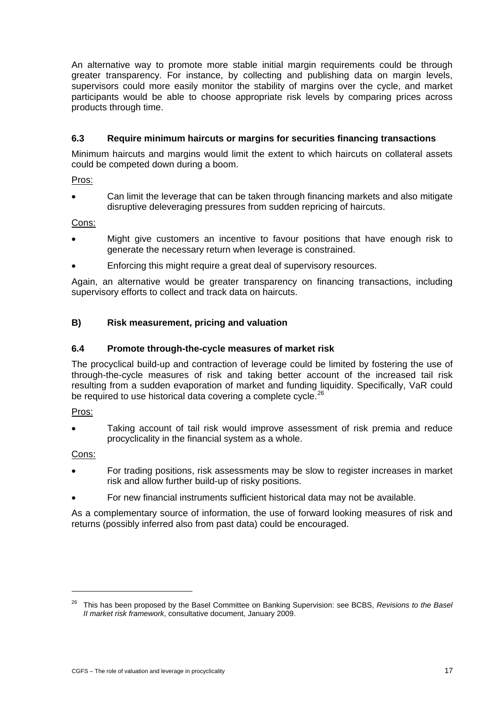<span id="page-24-0"></span>An alternative way to promote more stable initial margin requirements could be through greater transparency. For instance, by collecting and publishing data on margin levels, supervisors could more easily monitor the stability of margins over the cycle, and market participants would be able to choose appropriate risk levels by comparing prices across products through time.

# **6.3 Require minimum haircuts or margins for securities financing transactions**

Minimum haircuts and margins would limit the extent to which haircuts on collateral assets could be competed down during a boom.

Pros:

• Can limit the leverage that can be taken through financing markets and also mitigate disruptive deleveraging pressures from sudden repricing of haircuts.

Cons:

- Might give customers an incentive to favour positions that have enough risk to generate the necessary return when leverage is constrained.
- Enforcing this might require a great deal of supervisory resources.

Again, an alternative would be greater transparency on financing transactions, including supervisory efforts to collect and track data on haircuts.

## **B) Risk measurement, pricing and valuation**

#### **6.4 Promote through-the-cycle measures of market risk**

The procyclical build-up and contraction of leverage could be limited by fostering the use of through-the-cycle measures of risk and taking better account of the increased tail risk resulting from a sudden evaporation of market and funding liquidity. Specifically, VaR could be required to use historical data covering a complete cycle.<sup>[26](#page-24-1)</sup>

#### Pros:

• Taking account of tail risk would improve assessment of risk premia and reduce procyclicality in the financial system as a whole.

#### Cons:

- For trading positions, risk assessments may be slow to register increases in market risk and allow further build-up of risky positions.
- For new financial instruments sufficient historical data may not be available.

As a complementary source of information, the use of forward looking measures of risk and returns (possibly inferred also from past data) could be encouraged.

<span id="page-24-1"></span><sup>26</sup> This has been proposed by the Basel Committee on Banking Supervision: see BCBS, *Revisions to the Basel II market risk framework*, consultative document, January 2009.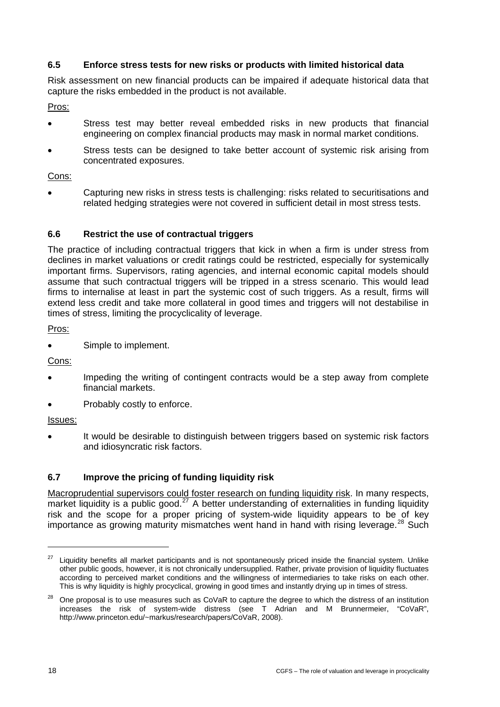# <span id="page-25-0"></span>**6.5 Enforce stress tests for new risks or products with limited historical data**

Risk assessment on new financial products can be impaired if adequate historical data that capture the risks embedded in the product is not available.

Pros:

- Stress test may better reveal embedded risks in new products that financial engineering on complex financial products may mask in normal market conditions.
- Stress tests can be designed to take better account of systemic risk arising from concentrated exposures.

Cons:

• Capturing new risks in stress tests is challenging: risks related to securitisations and related hedging strategies were not covered in sufficient detail in most stress tests.

## **6.6 Restrict the use of contractual triggers**

The practice of including contractual triggers that kick in when a firm is under stress from declines in market valuations or credit ratings could be restricted, especially for systemically important firms. Supervisors, rating agencies, and internal economic capital models should assume that such contractual triggers will be tripped in a stress scenario. This would lead firms to internalise at least in part the systemic cost of such triggers. As a result, firms will extend less credit and take more collateral in good times and triggers will not destabilise in times of stress, limiting the procyclicality of leverage.

Pros:

• Simple to implement.

Cons:

- Impeding the writing of contingent contracts would be a step away from complete financial markets.
- Probably costly to enforce.

### Issues:

It would be desirable to distinguish between triggers based on systemic risk factors and idiosyncratic risk factors.

# **6.7 Improve the pricing of funding liquidity risk**

Macroprudential supervisors could foster research on funding liquidity risk. In many respects, market liquidity is a public good.<sup>[27](#page-25-1)</sup> A better understanding of externalities in funding liquidity risk and the scope for a proper pricing of system-wide liquidity appears to be of key importance as growing maturity mismatches went hand in hand with rising leverage. $^{28}$  $^{28}$  $^{28}$  Such

 $\overline{a}$ 

<span id="page-25-1"></span><sup>&</sup>lt;sup>27</sup> Liquidity benefits all market participants and is not spontaneously priced inside the financial system. Unlike other public goods, however, it is not chronically undersupplied. Rather, private provision of liquidity fluctuates according to perceived market conditions and the willingness of intermediaries to take risks on each other. This is why liquidity is highly procyclical, growing in good times and instantly drying up in times of stress.

<span id="page-25-2"></span> $28$  One proposal is to use measures such as CoVaR to capture the degree to which the distress of an institution increases the risk of system-wide distress (see T Adrian and M Brunnermeier, "CoVaR", [http://www.princeton.edu/~markus/research/papers/CoVaR](http://www.princeton.edu/%7Emarkus/research/papers/CoVaR), 2008).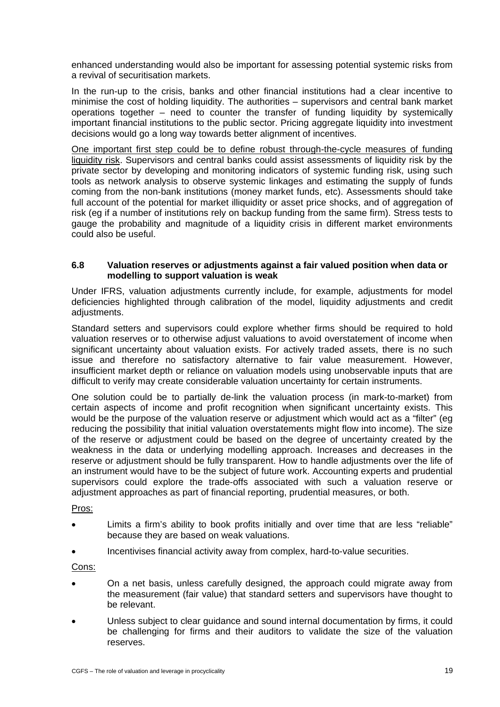<span id="page-26-0"></span>enhanced understanding would also be important for assessing potential systemic risks from a revival of securitisation markets.

In the run-up to the crisis, banks and other financial institutions had a clear incentive to minimise the cost of holding liquidity. The authorities – supervisors and central bank market operations together – need to counter the transfer of funding liquidity by systemically important financial institutions to the public sector. Pricing aggregate liquidity into investment decisions would go a long way towards better alignment of incentives.

One important first step could be to define robust through-the-cycle measures of funding liquidity risk. Supervisors and central banks could assist assessments of liquidity risk by the private sector by developing and monitoring indicators of systemic funding risk, using such tools as network analysis to observe systemic linkages and estimating the supply of funds coming from the non-bank institutions (money market funds, etc). Assessments should take full account of the potential for market illiquidity or asset price shocks, and of aggregation of risk (eg if a number of institutions rely on backup funding from the same firm). Stress tests to gauge the probability and magnitude of a liquidity crisis in different market environments could also be useful.

### **6.8 Valuation reserves or adjustments against a fair valued position when data or modelling to support valuation is weak**

Under IFRS, valuation adjustments currently include, for example, adjustments for model deficiencies highlighted through calibration of the model, liquidity adjustments and credit adjustments.

Standard setters and supervisors could explore whether firms should be required to hold valuation reserves or to otherwise adjust valuations to avoid overstatement of income when significant uncertainty about valuation exists. For actively traded assets, there is no such issue and therefore no satisfactory alternative to fair value measurement. However, insufficient market depth or reliance on valuation models using unobservable inputs that are difficult to verify may create considerable valuation uncertainty for certain instruments.

One solution could be to partially de-link the valuation process (in mark-to-market) from certain aspects of income and profit recognition when significant uncertainty exists. This would be the purpose of the valuation reserve or adjustment which would act as a "filter" (eg reducing the possibility that initial valuation overstatements might flow into income). The size of the reserve or adjustment could be based on the degree of uncertainty created by the weakness in the data or underlying modelling approach. Increases and decreases in the reserve or adjustment should be fully transparent. How to handle adjustments over the life of an instrument would have to be the subject of future work. Accounting experts and prudential supervisors could explore the trade-offs associated with such a valuation reserve or adjustment approaches as part of financial reporting, prudential measures, or both.

#### Pros:

- Limits a firm's ability to book profits initially and over time that are less "reliable" because they are based on weak valuations.
- Incentivises financial activity away from complex, hard-to-value securities.

#### Cons:

- On a net basis, unless carefully designed, the approach could migrate away from the measurement (fair value) that standard setters and supervisors have thought to be relevant.
- Unless subject to clear guidance and sound internal documentation by firms, it could be challenging for firms and their auditors to validate the size of the valuation reserves.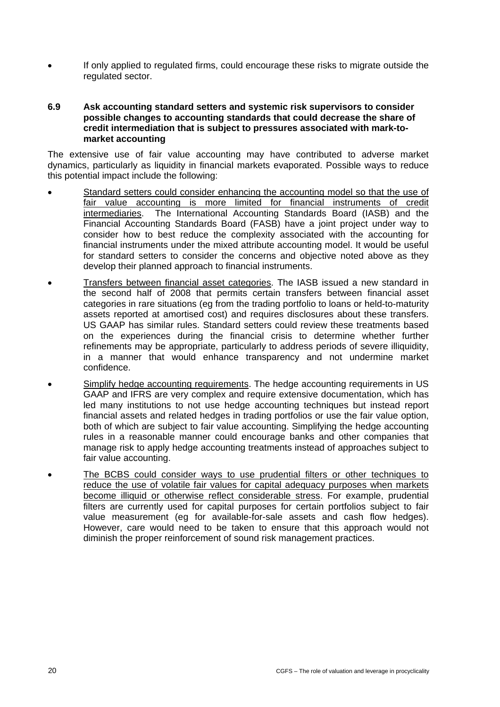- If only applied to regulated firms, could encourage these risks to migrate outside the regulated sector.
- **6.9 Ask accounting standard setters and systemic risk supervisors to consider possible changes to accounting standards that could decrease the share of credit intermediation that is subject to pressures associated with mark-tomarket accounting**

The extensive use of fair value accounting may have contributed to adverse market dynamics, particularly as liquidity in financial markets evaporated. Possible ways to reduce this potential impact include the following:

- Standard setters could consider enhancing the accounting model so that the use of fair value accounting is more limited for financial instruments of credit intermediaries. The International Accounting Standards Board (IASB) and the Financial Accounting Standards Board (FASB) have a joint project under way to consider how to best reduce the complexity associated with the accounting for financial instruments under the mixed attribute accounting model. It would be useful for standard setters to consider the concerns and objective noted above as they develop their planned approach to financial instruments.
- Transfers between financial asset categories. The IASB issued a new standard in the second half of 2008 that permits certain transfers between financial asset categories in rare situations (eg from the trading portfolio to loans or held-to-maturity assets reported at amortised cost) and requires disclosures about these transfers. US GAAP has similar rules. Standard setters could review these treatments based on the experiences during the financial crisis to determine whether further refinements may be appropriate, particularly to address periods of severe illiquidity, in a manner that would enhance transparency and not undermine market confidence.
- Simplify hedge accounting requirements. The hedge accounting requirements in US GAAP and IFRS are very complex and require extensive documentation, which has led many institutions to not use hedge accounting techniques but instead report financial assets and related hedges in trading portfolios or use the fair value option, both of which are subject to fair value accounting. Simplifying the hedge accounting rules in a reasonable manner could encourage banks and other companies that manage risk to apply hedge accounting treatments instead of approaches subject to fair value accounting.
- The BCBS could consider ways to use prudential filters or other techniques to reduce the use of volatile fair values for capital adequacy purposes when markets become illiquid or otherwise reflect considerable stress. For example, prudential filters are currently used for capital purposes for certain portfolios subject to fair value measurement (eg for available-for-sale assets and cash flow hedges). However, care would need to be taken to ensure that this approach would not diminish the proper reinforcement of sound risk management practices.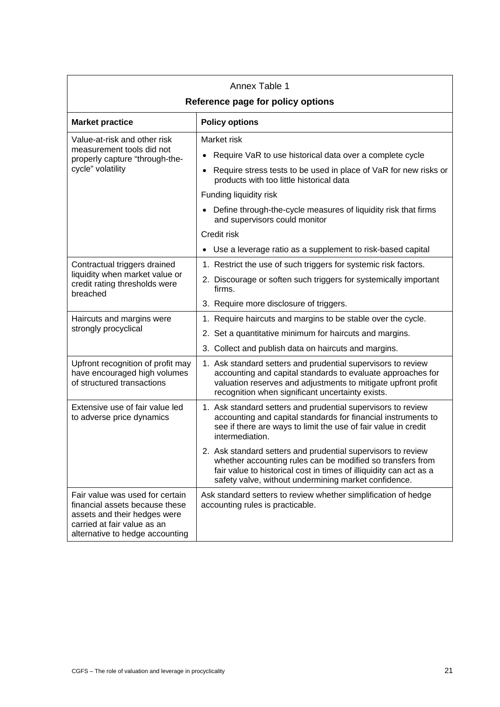| Annex Table 1                                                                                                                                                       |                                                                                                                                                                                                                                                          |  |  |  |  |  |  |
|---------------------------------------------------------------------------------------------------------------------------------------------------------------------|----------------------------------------------------------------------------------------------------------------------------------------------------------------------------------------------------------------------------------------------------------|--|--|--|--|--|--|
| Reference page for policy options                                                                                                                                   |                                                                                                                                                                                                                                                          |  |  |  |  |  |  |
| <b>Market practice</b>                                                                                                                                              | <b>Policy options</b>                                                                                                                                                                                                                                    |  |  |  |  |  |  |
| Value-at-risk and other risk                                                                                                                                        | Market risk                                                                                                                                                                                                                                              |  |  |  |  |  |  |
| measurement tools did not<br>properly capture "through-the-                                                                                                         | Require VaR to use historical data over a complete cycle                                                                                                                                                                                                 |  |  |  |  |  |  |
| cycle" volatility                                                                                                                                                   | Require stress tests to be used in place of VaR for new risks or<br>products with too little historical data                                                                                                                                             |  |  |  |  |  |  |
|                                                                                                                                                                     | Funding liquidity risk                                                                                                                                                                                                                                   |  |  |  |  |  |  |
|                                                                                                                                                                     | Define through-the-cycle measures of liquidity risk that firms<br>and supervisors could monitor                                                                                                                                                          |  |  |  |  |  |  |
|                                                                                                                                                                     | Credit risk                                                                                                                                                                                                                                              |  |  |  |  |  |  |
|                                                                                                                                                                     | Use a leverage ratio as a supplement to risk-based capital<br>$\bullet$                                                                                                                                                                                  |  |  |  |  |  |  |
| Contractual triggers drained                                                                                                                                        | 1. Restrict the use of such triggers for systemic risk factors.                                                                                                                                                                                          |  |  |  |  |  |  |
| liquidity when market value or<br>credit rating thresholds were<br>breached                                                                                         | 2. Discourage or soften such triggers for systemically important<br>firms.                                                                                                                                                                               |  |  |  |  |  |  |
|                                                                                                                                                                     | 3. Require more disclosure of triggers.                                                                                                                                                                                                                  |  |  |  |  |  |  |
| Haircuts and margins were                                                                                                                                           | 1. Require haircuts and margins to be stable over the cycle.                                                                                                                                                                                             |  |  |  |  |  |  |
| strongly procyclical                                                                                                                                                | 2. Set a quantitative minimum for haircuts and margins.                                                                                                                                                                                                  |  |  |  |  |  |  |
|                                                                                                                                                                     | 3. Collect and publish data on haircuts and margins.                                                                                                                                                                                                     |  |  |  |  |  |  |
| Upfront recognition of profit may<br>have encouraged high volumes<br>of structured transactions                                                                     | 1. Ask standard setters and prudential supervisors to review<br>accounting and capital standards to evaluate approaches for<br>valuation reserves and adjustments to mitigate upfront profit<br>recognition when significant uncertainty exists.         |  |  |  |  |  |  |
| Extensive use of fair value led<br>to adverse price dynamics                                                                                                        | 1. Ask standard setters and prudential supervisors to review<br>accounting and capital standards for financial instruments to<br>see if there are ways to limit the use of fair value in credit<br>intermediation.                                       |  |  |  |  |  |  |
|                                                                                                                                                                     | 2. Ask standard setters and prudential supervisors to review<br>whether accounting rules can be modified so transfers from<br>fair value to historical cost in times of illiquidity can act as a<br>safety valve, without undermining market confidence. |  |  |  |  |  |  |
| Fair value was used for certain<br>financial assets because these<br>assets and their hedges were<br>carried at fair value as an<br>alternative to hedge accounting | Ask standard setters to review whether simplification of hedge<br>accounting rules is practicable.                                                                                                                                                       |  |  |  |  |  |  |